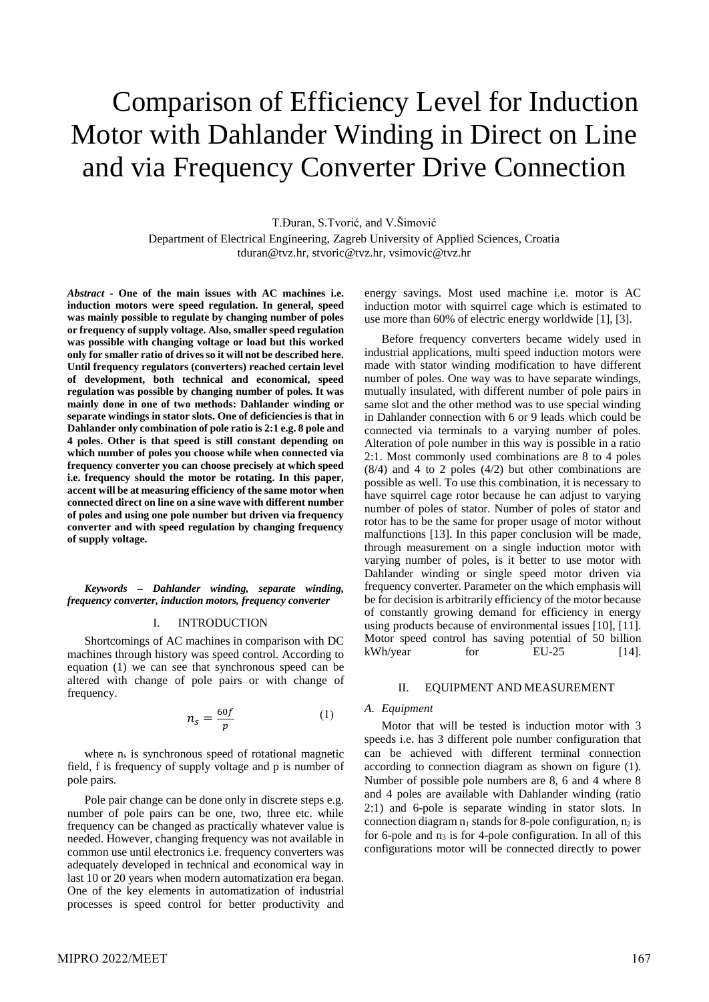# Comparison of Efficiency Level for Induction Motor with Dahlander Winding in Direct on Line and via Frequency Converter Drive Connection

T.Đuran, S.Tvorić, and V.Šimović

Department of Electrical Engineering, Zagreb University of Applied Sciences, Croatia tduran@tvz.hr, stvoric@tvz.hr, vsimovic@tvz.hr

*Abstract* **- One of the main issues with AC machines i.e. induction motors were speed regulation. In general, speed was mainly possible to regulate by changing number of poles or frequency of supply voltage. Also, smaller speed regulation was possible with changing voltage or load but this worked only for smaller ratio of drives so it will not be described here. Until frequency regulators (converters) reached certain level of development, both technical and economical, speed regulation was possible by changing number of poles. It was mainly done in one of two methods: Dahlander winding or separate windings in stator slots. One of deficiencies is that in Dahlander only combination of pole ratio is 2:1 e.g. 8 pole and 4 poles. Other is that speed is still constant depending on which number of poles you choose while when connected via frequency converter you can choose precisely at which speed i.e. frequency should the motor be rotating. In this paper, accent will be at measuring efficiency of the same motor when connected direct on line on a sine wave with different number of poles and using one pole number but driven via frequency converter and with speed regulation by changing frequency of supply voltage.** 

*Keywords – Dahlander winding, separate winding, frequency converter, induction motors, frequency converter*

#### I. INTRODUCTION

Shortcomings of AC machines in comparison with DC machines through history was speed control. According to equation (1) we can see that synchronous speed can be altered with change of pole pairs or with change of frequency.

$$
n_s = \frac{60f}{p} \tag{1}
$$

where  $n_s$  is synchronous speed of rotational magnetic field, f is frequency of supply voltage and p is number of pole pairs.

Pole pair change can be done only in discrete steps e.g. number of pole pairs can be one, two, three etc. while frequency can be changed as practically whatever value is needed. However, changing frequency was not available in common use until electronics i.e. frequency converters was adequately developed in technical and economical way in last 10 or 20 years when modern automatization era began. One of the key elements in automatization of industrial processes is speed control for better productivity and energy savings. Most used machine i.e. motor is AC induction motor with squirrel cage which is estimated to use more than 60% of electric energy worldwide [1], [3].

Before frequency converters became widely used in industrial applications, multi speed induction motors were made with stator winding modification to have different number of poles. One way was to have separate windings, mutually insulated, with different number of pole pairs in same slot and the other method was to use special winding in Dahlander connection with 6 or 9 leads which could be connected via terminals to a varying number of poles. Alteration of pole number in this way is possible in a ratio 2:1. Most commonly used combinations are 8 to 4 poles (8/4) and 4 to 2 poles (4/2) but other combinations are possible as well. To use this combination, it is necessary to have squirrel cage rotor because he can adjust to varying number of poles of stator. Number of poles of stator and rotor has to be the same for proper usage of motor without malfunctions [13]. In this paper conclusion will be made, through measurement on a single induction motor with varying number of poles, is it better to use motor with Dahlander winding or single speed motor driven via frequency converter. Parameter on the which emphasis will be for decision is arbitrarily efficiency of the motor because of constantly growing demand for efficiency in energy using products because of environmental issues [10], [11]. Motor speed control has saving potential of 50 billion  $kWh/year$  for  $EU-25$  [14].

#### II. EQUIPMENT AND MEASUREMENT

## *A. Equipment*

Motor that will be tested is induction motor with 3 speeds i.e. has 3 different pole number configuration that can be achieved with different terminal connection according to connection diagram as shown on figure (1). Number of possible pole numbers are 8, 6 and 4 where 8 and 4 poles are available with Dahlander winding (ratio 2:1) and 6-pole is separate winding in stator slots. In connection diagram  $n_1$  stands for 8-pole configuration,  $n_2$  is for 6-pole and  $n_3$  is for 4-pole configuration. In all of this configurations motor will be connected directly to power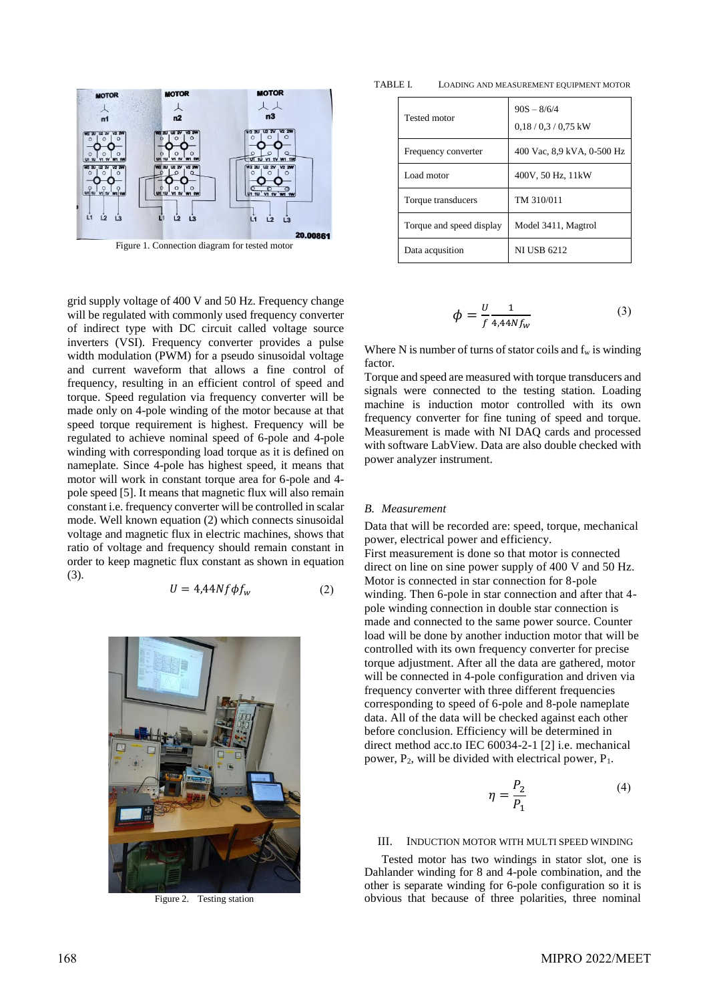

Figure 1. Connection diagram for tested motor

grid supply voltage of 400 V and 50 Hz. Frequency change will be regulated with commonly used frequency converter of indirect type with DC circuit called voltage source inverters (VSI). Frequency converter provides a pulse width modulation (PWM) for a pseudo sinusoidal voltage and current waveform that allows a fine control of frequency, resulting in an efficient control of speed and torque. Speed regulation via frequency converter will be made only on 4-pole winding of the motor because at that speed torque requirement is highest. Frequency will be regulated to achieve nominal speed of 6-pole and 4-pole winding with corresponding load torque as it is defined on nameplate. Since 4-pole has highest speed, it means that motor will work in constant torque area for 6-pole and 4 pole speed [5]. It means that magnetic flux will also remain constant i.e. frequency converter will be controlled in scalar mode. Well known equation (2) which connects sinusoidal voltage and magnetic flux in electric machines, shows that ratio of voltage and frequency should remain constant in order to keep magnetic flux constant as shown in equation (3).

$$
U = 4.44Nf\phi f_w \tag{2}
$$



Figure 2. Testing station

TABLE I. LOADING AND MEASUREMENT EQUIPMENT MOTOR

| Tested motor             | $90S - 8/6/4$<br>$0.18 / 0.3 / 0.75$ kW |  |  |  |
|--------------------------|-----------------------------------------|--|--|--|
| Frequency converter      | 400 Vac, 8,9 kVA, 0-500 Hz              |  |  |  |
| Load motor               | 400V, 50 Hz, 11kW                       |  |  |  |
| Torque transducers       | TM 310/011                              |  |  |  |
| Torque and speed display | Model 3411, Magtrol                     |  |  |  |
| Data acqusition          | <b>NI USB 6212</b>                      |  |  |  |

$$
\phi = \frac{U}{f} \frac{1}{4.44Nf_w} \tag{3}
$$

Where N is number of turns of stator coils and  $f_w$  is winding factor.

Torque and speed are measured with torque transducers and signals were connected to the testing station. Loading machine is induction motor controlled with its own frequency converter for fine tuning of speed and torque. Measurement is made with NI DAQ cards and processed with software LabView. Data are also double checked with power analyzer instrument.

#### *B. Measurement*

Data that will be recorded are: speed, torque, mechanical power, electrical power and efficiency. First measurement is done so that motor is connected direct on line on sine power supply of 400 V and 50 Hz. Motor is connected in star connection for 8-pole winding. Then 6-pole in star connection and after that 4 pole winding connection in double star connection is made and connected to the same power source. Counter load will be done by another induction motor that will be controlled with its own frequency converter for precise torque adjustment. After all the data are gathered, motor will be connected in 4-pole configuration and driven via frequency converter with three different frequencies corresponding to speed of 6-pole and 8-pole nameplate data. All of the data will be checked against each other before conclusion. Efficiency will be determined in direct method acc.to IEC 60034-2-1 [2] i.e. mechanical power,  $P_2$ , will be divided with electrical power,  $P_1$ .

$$
\eta = \frac{P_2}{P_1} \tag{4}
$$

#### III. INDUCTION MOTOR WITH MULTI SPEED WINDING

Tested motor has two windings in stator slot, one is Dahlander winding for 8 and 4-pole combination, and the other is separate winding for 6-pole configuration so it is obvious that because of three polarities, three nominal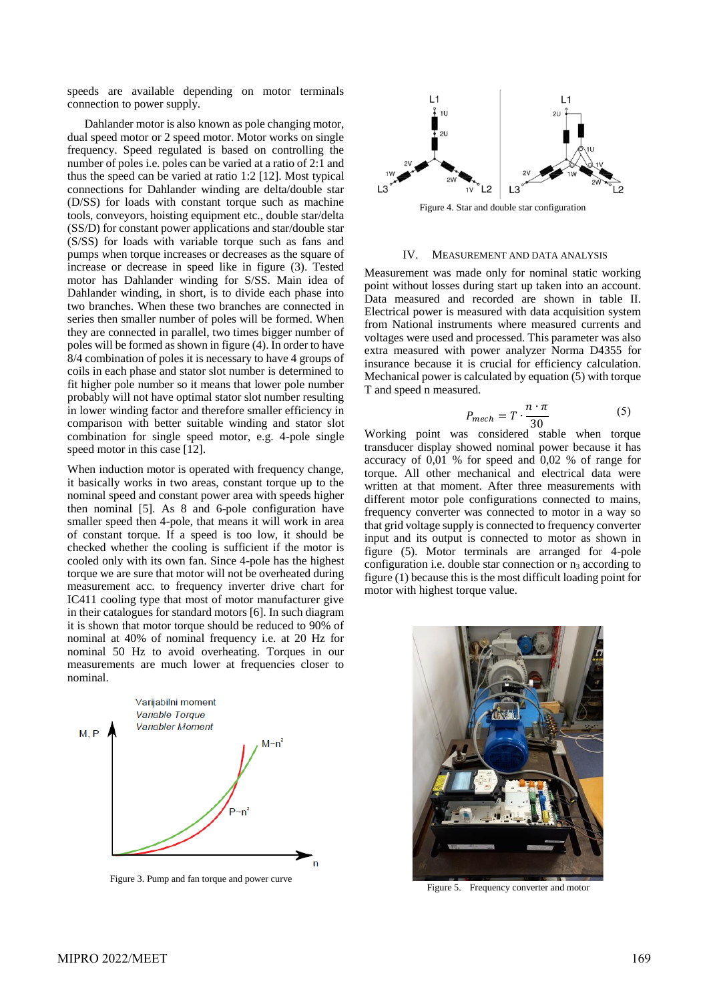speeds are available depending on motor terminals connection to power supply.

Dahlander motor is also known as pole changing motor, dual speed motor or 2 speed motor. Motor works on single frequency. Speed regulated is based on controlling the number of poles i.e. poles can be varied at a ratio of 2:1 and thus the speed can be varied at ratio 1:2 [12]. Most typical connections for Dahlander winding are delta/double star (D/SS) for loads with constant torque such as machine tools, conveyors, hoisting equipment etc., double star/delta (SS/D) for constant power applications and star/double star (S/SS) for loads with variable torque such as fans and pumps when torque increases or decreases as the square of increase or decrease in speed like in figure (3). Tested motor has Dahlander winding for S/SS. Main idea of Dahlander winding, in short, is to divide each phase into two branches. When these two branches are connected in series then smaller number of poles will be formed. When they are connected in parallel, two times bigger number of poles will be formed as shown in figure (4). In order to have 8/4 combination of poles it is necessary to have 4 groups of coils in each phase and stator slot number is determined to fit higher pole number so it means that lower pole number probably will not have optimal stator slot number resulting in lower winding factor and therefore smaller efficiency in comparison with better suitable winding and stator slot combination for single speed motor, e.g. 4-pole single speed motor in this case [12].

When induction motor is operated with frequency change, it basically works in two areas, constant torque up to the nominal speed and constant power area with speeds higher then nominal [5]. As 8 and 6-pole configuration have smaller speed then 4-pole, that means it will work in area of constant torque. If a speed is too low, it should be checked whether the cooling is sufficient if the motor is cooled only with its own fan. Since 4-pole has the highest torque we are sure that motor will not be overheated during measurement acc. to frequency inverter drive chart for IC411 cooling type that most of motor manufacturer give in their catalogues for standard motors [6]. In such diagram it is shown that motor torque should be reduced to 90% of nominal at 40% of nominal frequency i.e. at 20 Hz for nominal 50 Hz to avoid overheating. Torques in our measurements are much lower at frequencies closer to nominal.



Figure 3. Pump and fan torque and power curve



Figure 4. Star and double star configuration

## IV. MEASUREMENT AND DATA ANALYSIS

Measurement was made only for nominal static working point without losses during start up taken into an account. Data measured and recorded are shown in table II. Electrical power is measured with data acquisition system from National instruments where measured currents and voltages were used and processed. This parameter was also extra measured with power analyzer Norma D4355 for insurance because it is crucial for efficiency calculation. Mechanical power is calculated by equation (5) with torque T and speed n measured.

$$
P_{mech} = T \cdot \frac{n \cdot \pi}{30} \tag{5}
$$

Working point was considered stable when torque transducer display showed nominal power because it has accuracy of 0,01 % for speed and 0,02 % of range for torque. All other mechanical and electrical data were written at that moment. After three measurements with different motor pole configurations connected to mains, frequency converter was connected to motor in a way so that grid voltage supply is connected to frequency converter input and its output is connected to motor as shown in figure (5). Motor terminals are arranged for 4-pole configuration i.e. double star connection or  $n_3$  according to figure (1) because this is the most difficult loading point for motor with highest torque value.



Figure 5. Frequency converter and motor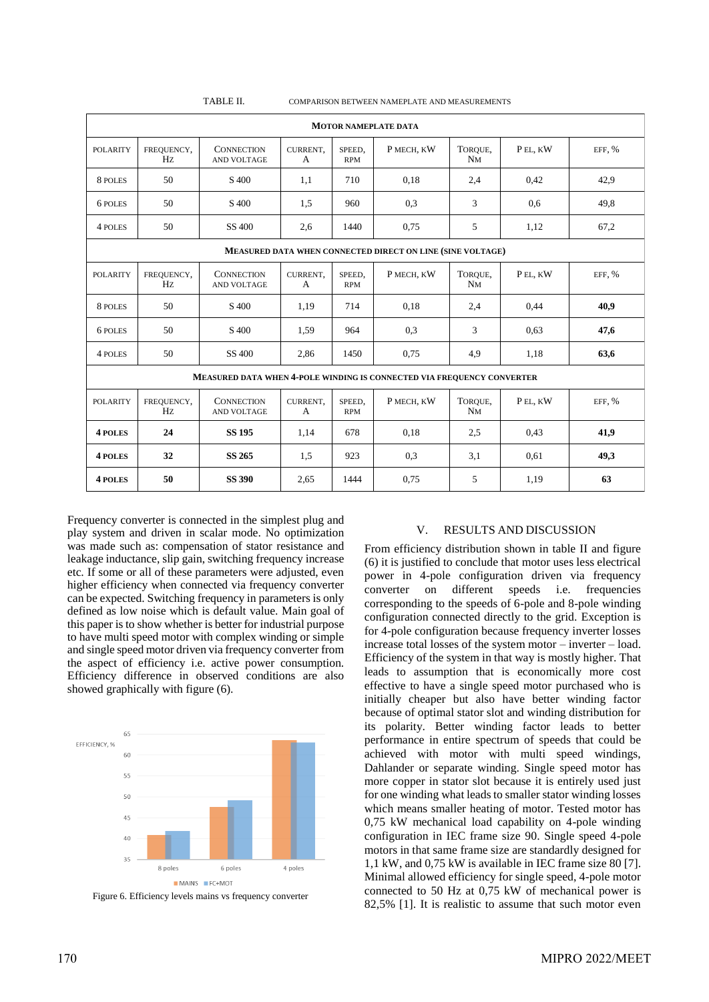| <b>MOTOR NAMEPLATE DATA</b>                                            |                  |                                         |               |                      |            |               |         |          |  |  |
|------------------------------------------------------------------------|------------------|-----------------------------------------|---------------|----------------------|------------|---------------|---------|----------|--|--|
| <b>POLARITY</b>                                                        | FREQUENCY,<br>Hz | <b>CONNECTION</b><br><b>AND VOLTAGE</b> | CURRENT,<br>A | SPEED.<br><b>RPM</b> | P MECH, KW | TOROUE,<br>NM | PEL, KW | EFF, $%$ |  |  |
| 8 POLES                                                                | 50               | S <sub>400</sub>                        | 1,1           | 710                  | 0,18       | 2,4           | 0,42    | 42,9     |  |  |
| 6 POLES                                                                | 50               | S <sub>400</sub>                        | 1,5           | 960                  | 0.3        | 3             | 0,6     | 49,8     |  |  |
| 4 POLES                                                                | 50               | SS 400                                  | 2.6           | 1440                 | 0,75       | 5             | 1,12    | 67,2     |  |  |
| MEASURED DATA WHEN CONNECTED DIRECT ON LINE (SINE VOLTAGE)             |                  |                                         |               |                      |            |               |         |          |  |  |
| <b>POLARITY</b>                                                        | FREQUENCY,<br>Hz | <b>CONNECTION</b><br>AND VOLTAGE        | CURRENT,<br>A | SPEED,<br><b>RPM</b> | P MECH, KW | TOROUE,<br>NM | PEL, KW | EFF, $%$ |  |  |
| 8 POLES                                                                | 50               | S <sub>400</sub>                        | 1,19          | 714                  | 0,18       | 2,4           | 0,44    | 40,9     |  |  |
| 6 POLES                                                                | 50               | S <sub>400</sub>                        | 1.59          | 964                  | 0.3        | 3             | 0.63    | 47,6     |  |  |
| 4 POLES                                                                | 50               | SS 400                                  | 2,86          | 1450                 | 0.75       | 4,9           | 1,18    | 63,6     |  |  |
| MEASURED DATA WHEN 4-POLE WINDING IS CONNECTED VIA FREQUENCY CONVERTER |                  |                                         |               |                      |            |               |         |          |  |  |
| <b>POLARITY</b>                                                        | FREQUENCY,<br>Hz | <b>CONNECTION</b><br>AND VOLTAGE        | CURRENT,<br>A | SPEED,<br><b>RPM</b> | P MECH, KW | TOROUE,<br>NM | PEL, KW | EFF, %   |  |  |
| <b>4 POLES</b>                                                         | 24               | <b>SS 195</b>                           | 1,14          | 678                  | 0,18       | 2.5           | 0,43    | 41,9     |  |  |
| <b>4 POLES</b>                                                         | 32               | <b>SS 265</b>                           | 1,5           | 923                  | 0,3        | 3,1           | 0.61    | 49,3     |  |  |
| 4 POLES                                                                | 50               | <b>SS 390</b>                           | 2,65          | 1444                 | 0,75       | 5             | 1,19    | 63       |  |  |

COMPARISON BETWEEN NAMEPLATE AND MEASUREMENTS

Frequency converter is connected in the simplest plug and play system and driven in scalar mode. No optimization was made such as: compensation of stator resistance and leakage inductance, slip gain, switching frequency increase etc. If some or all of these parameters were adjusted, even higher efficiency when connected via frequency converter can be expected. Switching frequency in parameters is only defined as low noise which is default value. Main goal of this paper is to show whether is better for industrial purpose to have multi speed motor with complex winding or simple and single speed motor driven via frequency converter from the aspect of efficiency i.e. active power consumption. Efficiency difference in observed conditions are also showed graphically with figure (6).



Figure 6. Efficiency levels mains vs frequency converter

# V. RESULTS AND DISCUSSION

From efficiency distribution shown in table II and figure (6) it is justified to conclude that motor uses less electrical power in 4-pole configuration driven via frequency converter on different speeds i.e. frequencies corresponding to the speeds of 6-pole and 8-pole winding configuration connected directly to the grid. Exception is for 4-pole configuration because frequency inverter losses increase total losses of the system motor – inverter – load. Efficiency of the system in that way is mostly higher. That leads to assumption that is economically more cost effective to have a single speed motor purchased who is initially cheaper but also have better winding factor because of optimal stator slot and winding distribution for its polarity. Better winding factor leads to better performance in entire spectrum of speeds that could be achieved with motor with multi speed windings, Dahlander or separate winding. Single speed motor has more copper in stator slot because it is entirely used just for one winding what leads to smaller stator winding losses which means smaller heating of motor. Tested motor has 0,75 kW mechanical load capability on 4-pole winding configuration in IEC frame size 90. Single speed 4-pole motors in that same frame size are standardly designed for 1,1 kW, and 0,75 kW is available in IEC frame size 80 [7]. Minimal allowed efficiency for single speed, 4-pole motor connected to 50 Hz at 0,75 kW of mechanical power is 82,5% [1]. It is realistic to assume that such motor even